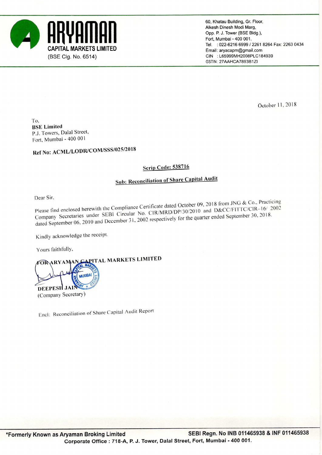

60, Khatau Building, Gr. Floor, Alkesh Dinesh Modi Marg, Opp. P. J. Tower (BSE Bldg.), Fort, Mumbai - 400 001. Tel. :022-6216 6999 / 2261 8264 Fax: 2263 0434 (BSE Clg. No. 6514) CIN :L65999MH2008PLC184939 GSTIN : 27AAHCA789381Z|

October 11, 2018

To. BSE Limited P.J. Towers, Dalal Street, Fort, Mumbai -<sup>400</sup> <sup>001</sup>

## Ref No: ACML/LODR/COM/SSS/OZS/ZOI8

#### Scrip Code: 538716

### Sub: Reconciliation of Share Capital Audit

Dear Sir,

Please find enclosed herewith the Compliance Certificate dated October 09, 2018 from JNG & Co., Practicing<br>Please find enclosed herewith the Compliance Certificate dated October 09, 2018 from JNG & Co., Practicing Please find enclosed herewith the Compliance Certificate dates of DP/30/2010 and D&CC/FITTC/CIR-16/20<br>Company Secretaries under SEBI Circular No. CIR/MRD/DP/30/2010 and D&CC/FITTC/CIR-16/2018. dated September 06, 2010 and December 31, 2002 respectively for the quarter ended September 30, 2018.

Kindly acknowledge the receipt,

Yours faithfully.

FOR ARY AMAN CAPITAL MARKETS LIMITED

**MUMBAI** 

**DEEPESH JA** (Company Secretary)

Encl: Reconciliation of Share Capital Audit Report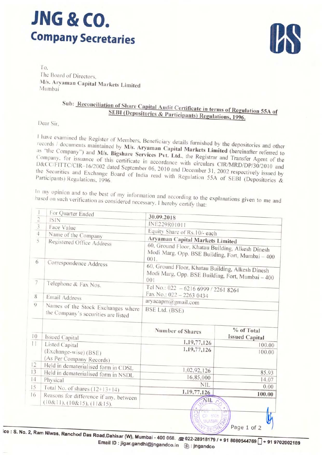# **JNG & CO. Company Secretaries**



To. The Board of Directors, M/s. Aryaman Capital Markets Limited Mumbai

#### Sub: Reconciliation of Share Capital Audit Certificate in terms of Regulation 55A of SEBI (Depositories & Participants) Regulations, 1996.

Dear Sir.

I have examined the Register of Members, Beneficiary details furnished by the depositories and other records / documents maintained by M/s. Aryaman Capital Markets Limited (hereinafter referred to as "the Company") and M/s. Bigshare Services Pvt. Ltd., the Registrar and Transfer Agent of the Company, for issuance of this certificate in accordance with circulars CIR/MRD/DP/30/2010 and D&CC/FITTC/CIR-16/2002 dated September 06, 2010 and December 31, 2002 respectively issued by the Securities and Exchange Board of India read with Regulation 55A of SEBI (Depositories &

In my opinion and to the best of my information and according to the explanations given to me and based on such verification as considered necessary, I hereby certify that:

| For Quarter Ended<br><b>ISIN</b><br>Face Value<br>Name of the Company<br>Registered Office Address<br>Correspondence Address<br>Telephone & Fax Nos.<br>Email Address<br>Names of the Stock Exchanges where<br>the Company's securities are listed | 30.09.2018<br>INE229R01011<br>Equity Share of Rs.10/- each<br>Aryaman Capital Markets Limited<br>60, Ground Floor, Khatau Building, Alkesh Dinesh<br>Modi Marg, Opp. BSE Building, Fort, Mumbai - 400<br>001.<br>60, Ground Floor, Khatau Building, Alkesh Dinesh<br>Modi Marg, Opp. BSE Building, Fort, Mumbai - 400<br>001<br>Tel No.: 022 - 6216 6999 / 2261 8264<br>Fax No.: 022 - 2263 0434<br>aryacapm@gmail.com<br>BSE Ltd. (BSE) |                                                                      |  |  |
|----------------------------------------------------------------------------------------------------------------------------------------------------------------------------------------------------------------------------------------------------|------------------------------------------------------------------------------------------------------------------------------------------------------------------------------------------------------------------------------------------------------------------------------------------------------------------------------------------------------------------------------------------------------------------------------------------|----------------------------------------------------------------------|--|--|
|                                                                                                                                                                                                                                                    |                                                                                                                                                                                                                                                                                                                                                                                                                                          |                                                                      |  |  |
|                                                                                                                                                                                                                                                    |                                                                                                                                                                                                                                                                                                                                                                                                                                          |                                                                      |  |  |
|                                                                                                                                                                                                                                                    |                                                                                                                                                                                                                                                                                                                                                                                                                                          |                                                                      |  |  |
|                                                                                                                                                                                                                                                    |                                                                                                                                                                                                                                                                                                                                                                                                                                          |                                                                      |  |  |
|                                                                                                                                                                                                                                                    |                                                                                                                                                                                                                                                                                                                                                                                                                                          |                                                                      |  |  |
|                                                                                                                                                                                                                                                    |                                                                                                                                                                                                                                                                                                                                                                                                                                          |                                                                      |  |  |
|                                                                                                                                                                                                                                                    |                                                                                                                                                                                                                                                                                                                                                                                                                                          |                                                                      |  |  |
|                                                                                                                                                                                                                                                    |                                                                                                                                                                                                                                                                                                                                                                                                                                          |                                                                      |  |  |
|                                                                                                                                                                                                                                                    |                                                                                                                                                                                                                                                                                                                                                                                                                                          |                                                                      |  |  |
| <b>Issued Capital</b>                                                                                                                                                                                                                              | Number of Shares                                                                                                                                                                                                                                                                                                                                                                                                                         | % of Total<br><b>Issued Capital</b>                                  |  |  |
| Listed Capital                                                                                                                                                                                                                                     | 1,19,77,126                                                                                                                                                                                                                                                                                                                                                                                                                              | 100.00                                                               |  |  |
| (Exchange-wise) (BSE)<br>(As Per Company Records)                                                                                                                                                                                                  | 1,19,77,126                                                                                                                                                                                                                                                                                                                                                                                                                              | 100.00                                                               |  |  |
| Held in dematerialised form in CDSL                                                                                                                                                                                                                |                                                                                                                                                                                                                                                                                                                                                                                                                                          |                                                                      |  |  |
|                                                                                                                                                                                                                                                    |                                                                                                                                                                                                                                                                                                                                                                                                                                          | 85.93                                                                |  |  |
| Physical                                                                                                                                                                                                                                           |                                                                                                                                                                                                                                                                                                                                                                                                                                          | 14.07                                                                |  |  |
|                                                                                                                                                                                                                                                    |                                                                                                                                                                                                                                                                                                                                                                                                                                          | 0.00                                                                 |  |  |
| Reasons for difference if any, between                                                                                                                                                                                                             | NIL                                                                                                                                                                                                                                                                                                                                                                                                                                      | 100.00                                                               |  |  |
|                                                                                                                                                                                                                                                    | Held in dematerialised form in NSDL<br>Total No. of shares $(12+13+14)$<br>(10&11), (10&15), (11&15).                                                                                                                                                                                                                                                                                                                                    | 1,02,92,126<br>16,85,000<br><b>NIL</b><br>1,19,77,126<br>3108<br>CP. |  |  |

ice: S. No. 2, Ram Niwas, Ranchod Das Road, Dahisar (W), Mumbai - 400 068. 2 022-28918179 / + 91 8080544769 + 91 9702002189